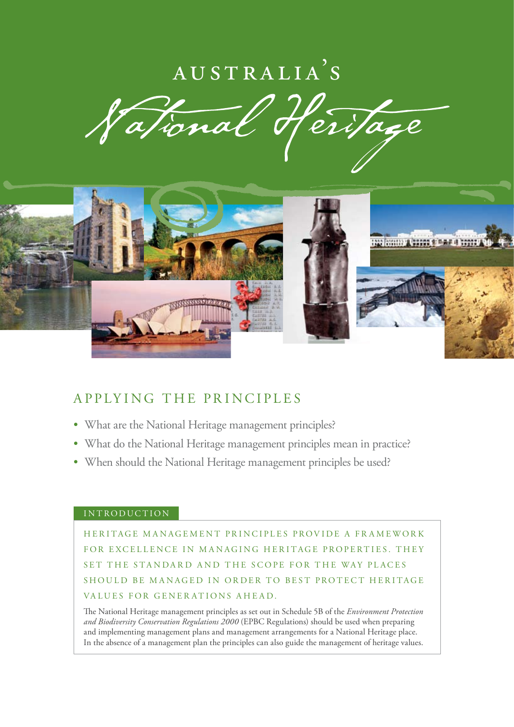# $AUSTRALIA$ <sup>'</sup>S

ational itage



# APPLYING THE PRINCIPLES

- What are the National Heritage management principles?
- What do the National Heritage management principles mean in practice?
- When should the National Heritage management principles be used?

#### INTRODUCTION

HERITAGE MANAGEMENT PRINCIPLES PROVIDE A FRAMEWORK FOR EXCELLENCE IN MANAGING HERITAGE PROPERTIES. THEY SET THE STANDARD AND THE SCOPE FOR THE WAY PLACES SHOULD BE MANAGED IN ORDER TO BEST PROTECT HERITAGE VALUES FOR GENERATIONS AHEAD.

The National Heritage management principles as set out in Schedule 5B of the *Environment Protection and Biodiversity Conservation Regulations 2000* (EPBC Regulations) should be used when preparing and implementing management plans and management arrangements for a National Heritage place. In the absence of a management plan the principles can also guide the management of heritage values.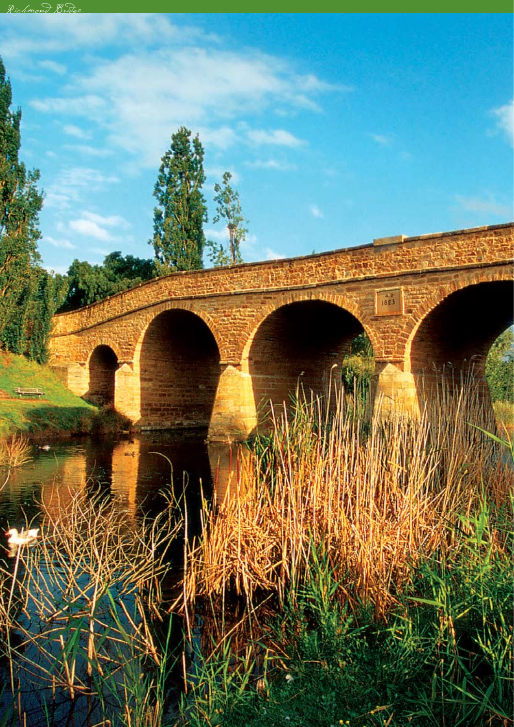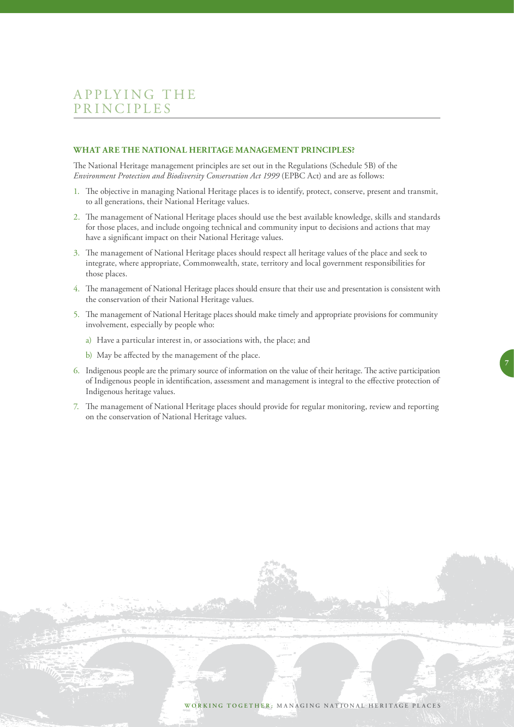#### **What are the National Heritage management principles?**

The National Heritage management principles are set out in the Regulations (Schedule 5B) of the *Environment Protection and Biodiversity Conservation Act 1999* (EPBC Act) and are as follows:

- 1. The objective in managing National Heritage places is to identify, protect, conserve, present and transmit, to all generations, their National Heritage values.
- 2. The management of National Heritage places should use the best available knowledge, skills and standards for those places, and include ongoing technical and community input to decisions and actions that may have a significant impact on their National Heritage values.
- 3. The management of National Heritage places should respect all heritage values of the place and seek to integrate, where appropriate, Commonwealth, state, territory and local government responsibilities for those places.
- 4. The management of National Heritage places should ensure that their use and presentation is consistent with the conservation of their National Heritage values.
- 5. The management of National Heritage places should make timely and appropriate provisions for community involvement, especially by people who:
	- a) Have a particular interest in, or associations with, the place; and
	- b) May be affected by the management of the place.
- 6. Indigenous people are the primary source of information on the value of their heritage. The active participation of Indigenous people in identification, assessment and management is integral to the effective protection of Indigenous heritage values.

7

7. The management of National Heritage places should provide for regular monitoring, review and reporting on the conservation of National Heritage values.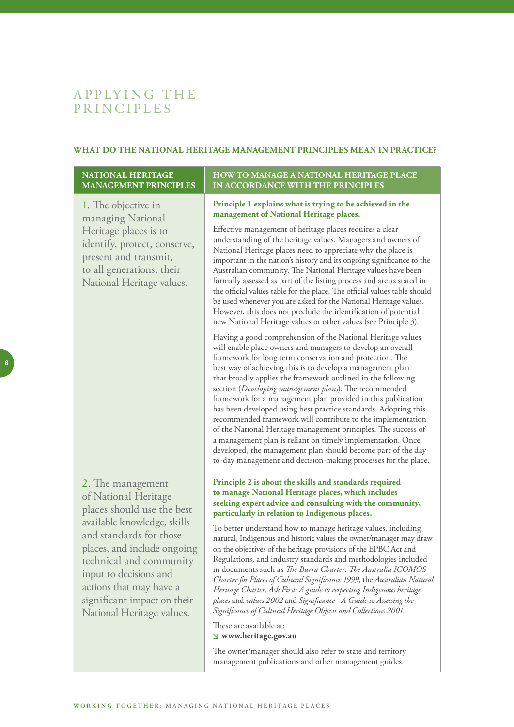#### **What do the National Heritage management principles mean in practice?**

**How to manage a National Heritage place** 

**in accordance with the principles**

#### **National Heritage management principles**

 $\overline{\phantom{a}}$ 

| Principle 1 explains what is trying to be achieved in the<br>management of National Heritage places.                                                                                                                                                                                                                                                                                                                                                                                                                                                                                                                                                                                                                                                                                                                                                                                                                                                                                                                                                  |
|-------------------------------------------------------------------------------------------------------------------------------------------------------------------------------------------------------------------------------------------------------------------------------------------------------------------------------------------------------------------------------------------------------------------------------------------------------------------------------------------------------------------------------------------------------------------------------------------------------------------------------------------------------------------------------------------------------------------------------------------------------------------------------------------------------------------------------------------------------------------------------------------------------------------------------------------------------------------------------------------------------------------------------------------------------|
| Effective management of heritage places requires a clear<br>understanding of the heritage values. Managers and owners of<br>National Heritage places need to appreciate why the place is<br>important in the nation's history and its ongoing significance to the<br>Australian community. The National Heritage values have been<br>formally assessed as part of the listing process and are as stated in<br>the official values table for the place. The official values table should<br>be used whenever you are asked for the National Heritage values.<br>However, this does not preclude the identification of potential<br>new National Heritage values or other values (see Principle 3).                                                                                                                                                                                                                                                                                                                                                     |
| Having a good comprehension of the National Heritage values<br>will enable place owners and managers to develop an overall<br>framework for long term conservation and protection. The<br>best way of achieving this is to develop a management plan<br>that broadly applies the framework outlined in the following<br>section (Developing management plans). The recommended<br>framework for a management plan provided in this publication<br>has been developed using best practice standards. Adopting this<br>recommended framework will contribute to the implementation<br>of the National Heritage management principles. The success of<br>a management plan is reliant on timely implementation. Once<br>developed, the management plan should become part of the day-<br>to-day management and decision-making processes for the place.                                                                                                                                                                                                  |
| Principle 2 is about the skills and standards required<br>to manage National Heritage places, which includes<br>seeking expert advice and consulting with the community,<br>particularly in relation to Indigenous places.<br>To better understand how to manage heritage values, including<br>natural, Indigenous and historic values the owner/manager may draw<br>on the objectives of the heritage provisions of the EPBC Act and<br>Regulations, and industry standards and methodologies included<br>in documents such as The Burra Charter: The Australia ICOMOS<br>Charter for Places of Cultural Significance 1999, the Australian Natural<br>Heritage Charter, Ask First: A guide to respecting Indigenous heritage<br>places and values 2002 and Significance - A Guide to Assessing the<br>Significance of Cultural Heritage Objects and Collections 2001.<br>These are available at:<br>$\vee$ www.heritage.gov.au<br>The owner/manager should also refer to state and territory<br>management publications and other management guides. |
|                                                                                                                                                                                                                                                                                                                                                                                                                                                                                                                                                                                                                                                                                                                                                                                                                                                                                                                                                                                                                                                       |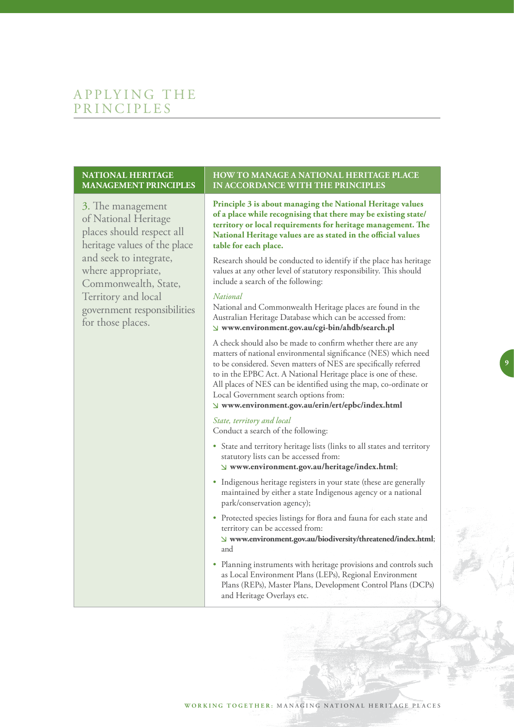#### **National Heritage management principles**

3. The management of National Heritage places should respect all heritage values of the place and seek to integrate, where appropriate, Commonwealth, State, Territory and local government responsibilities for those places.

#### **How to manage a National Heritage place in accordance with the principles**

**Principle 3 is about managing the National Heritage values of a place while recognising that there may be existing state/ territory or local requirements for heritage management. The National Heritage values are as stated in the official values table for each place.** 

Research should be conducted to identify if the place has heritage values at any other level of statutory responsibility. This should include a search of the following:

#### *National*

National and Commonwealth Heritage places are found in the Australian Heritage Database which can be accessed from:  **www.environment.gov.au/cgi-bin/ahdb/search.pl** 

A check should also be made to confirm whether there are any matters of national environmental significance (NES) which need to be considered. Seven matters of NES are specifically referred to in the EPBC Act. A National Heritage place is one of these. All places of NES can be identified using the map, co-ordinate or Local Government search options from:

 $\overline{9}$ 

#### **www.environment.gov.au/erin/ert/epbc/index.html**

#### *State, territory and local*

Conduct a search of the following:

- State and territory heritage lists (links to all states and territory statutory lists can be accessed from:  **www.environment.gov.au/heritage/index.html**;
- Indigenous heritage registers in your state (these are generally maintained by either a state Indigenous agency or a national park/conservation agency);
- Protected species listings for flora and fauna for each state and territory can be accessed from:

**www.environment.gov.au/biodiversity/threatened/index.html**; and

• Planning instruments with heritage provisions and controls such as Local Environment Plans (LEPs), Regional Environment Plans (REPs), Master Plans, Development Control Plans (DCPs) and Heritage Overlays etc.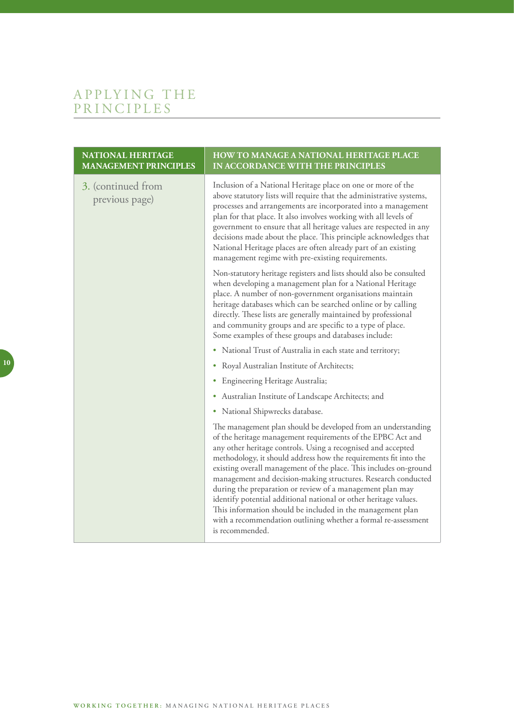# APPLYING TH PR I N C I PL E S

| <b>NATIONAL HERITAGE</b><br><b>MANAGEMENT PRINCIPLES</b> | HOW TO MANAGE A NATIONAL HERITAGE PLACE<br>IN ACCORDANCE WITH THE PRINCIPLES                                                                                                                                                                                                                                                                                                                                                                                                                                                                                                                                                                                                               |
|----------------------------------------------------------|--------------------------------------------------------------------------------------------------------------------------------------------------------------------------------------------------------------------------------------------------------------------------------------------------------------------------------------------------------------------------------------------------------------------------------------------------------------------------------------------------------------------------------------------------------------------------------------------------------------------------------------------------------------------------------------------|
| 3. (continued from<br>previous page)                     | Inclusion of a National Heritage place on one or more of the<br>above statutory lists will require that the administrative systems,<br>processes and arrangements are incorporated into a management<br>plan for that place. It also involves working with all levels of<br>government to ensure that all heritage values are respected in any<br>decisions made about the place. This principle acknowledges that<br>National Heritage places are often already part of an existing<br>management regime with pre-existing requirements.                                                                                                                                                  |
|                                                          | Non-statutory heritage registers and lists should also be consulted<br>when developing a management plan for a National Heritage<br>place. A number of non-government organisations maintain<br>heritage databases which can be searched online or by calling<br>directly. These lists are generally maintained by professional<br>and community groups and are specific to a type of place.<br>Some examples of these groups and databases include:                                                                                                                                                                                                                                       |
|                                                          | • National Trust of Australia in each state and territory;                                                                                                                                                                                                                                                                                                                                                                                                                                                                                                                                                                                                                                 |
|                                                          | • Royal Australian Institute of Architects;                                                                                                                                                                                                                                                                                                                                                                                                                                                                                                                                                                                                                                                |
|                                                          | • Engineering Heritage Australia;                                                                                                                                                                                                                                                                                                                                                                                                                                                                                                                                                                                                                                                          |
|                                                          | Australian Institute of Landscape Architects; and<br>٠                                                                                                                                                                                                                                                                                                                                                                                                                                                                                                                                                                                                                                     |
|                                                          | National Shipwrecks database.<br>٠                                                                                                                                                                                                                                                                                                                                                                                                                                                                                                                                                                                                                                                         |
|                                                          | The management plan should be developed from an understanding<br>of the heritage management requirements of the EPBC Act and<br>any other heritage controls. Using a recognised and accepted<br>methodology, it should address how the requirements fit into the<br>existing overall management of the place. This includes on-ground<br>management and decision-making structures. Research conducted<br>during the preparation or review of a management plan may<br>identify potential additional national or other heritage values.<br>This information should be included in the management plan<br>with a recommendation outlining whether a formal re-assessment<br>is recommended. |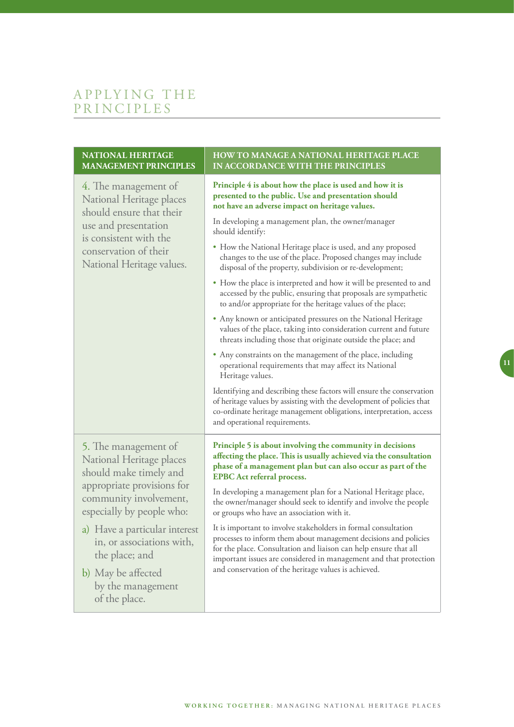# APPLYING TH PR I N C I PL E S

| <b>NATIONAL HERITAGE</b><br><b>MANAGEMENT PRINCIPLES</b>                                                                                                                             | <b>HOW TO MANAGE A NATIONAL HERITAGE PLACE</b><br>IN ACCORDANCE WITH THE PRINCIPLES                                                                                                                                                                                         |
|--------------------------------------------------------------------------------------------------------------------------------------------------------------------------------------|-----------------------------------------------------------------------------------------------------------------------------------------------------------------------------------------------------------------------------------------------------------------------------|
| 4. The management of<br>National Heritage places<br>should ensure that their<br>use and presentation<br>is consistent with the<br>conservation of their<br>National Heritage values. | Principle 4 is about how the place is used and how it is<br>presented to the public. Use and presentation should<br>not have an adverse impact on heritage values.<br>In developing a management plan, the owner/manager<br>should identify:                                |
|                                                                                                                                                                                      | • How the National Heritage place is used, and any proposed<br>changes to the use of the place. Proposed changes may include<br>disposal of the property, subdivision or re-development;                                                                                    |
|                                                                                                                                                                                      | • How the place is interpreted and how it will be presented to and<br>accessed by the public, ensuring that proposals are sympathetic<br>to and/or appropriate for the heritage values of the place;                                                                        |
|                                                                                                                                                                                      | • Any known or anticipated pressures on the National Heritage<br>values of the place, taking into consideration current and future<br>threats including those that originate outside the place; and                                                                         |
|                                                                                                                                                                                      | • Any constraints on the management of the place, including<br>operational requirements that may affect its National<br>Heritage values.                                                                                                                                    |
|                                                                                                                                                                                      | Identifying and describing these factors will ensure the conservation<br>of heritage values by assisting with the development of policies that<br>co-ordinate heritage management obligations, interpretation, access<br>and operational requirements.                      |
| 5. The management of<br>National Heritage places<br>should make timely and<br>appropriate provisions for<br>community involvement,<br>especially by people who:                      | Principle 5 is about involving the community in decisions<br>affecting the place. This is usually achieved via the consultation<br>phase of a management plan but can also occur as part of the<br><b>EPBC</b> Act referral process.                                        |
|                                                                                                                                                                                      | In developing a management plan for a National Heritage place,<br>the owner/manager should seek to identify and involve the people<br>or groups who have an association with it.                                                                                            |
| a) Have a particular interest<br>in, or associations with,<br>the place; and                                                                                                         | It is important to involve stakeholders in formal consultation<br>processes to inform them about management decisions and policies<br>for the place. Consultation and liaison can help ensure that all<br>important issues are considered in management and that protection |
| b) May be affected<br>by the management<br>of the place.                                                                                                                             | and conservation of the heritage values is achieved.                                                                                                                                                                                                                        |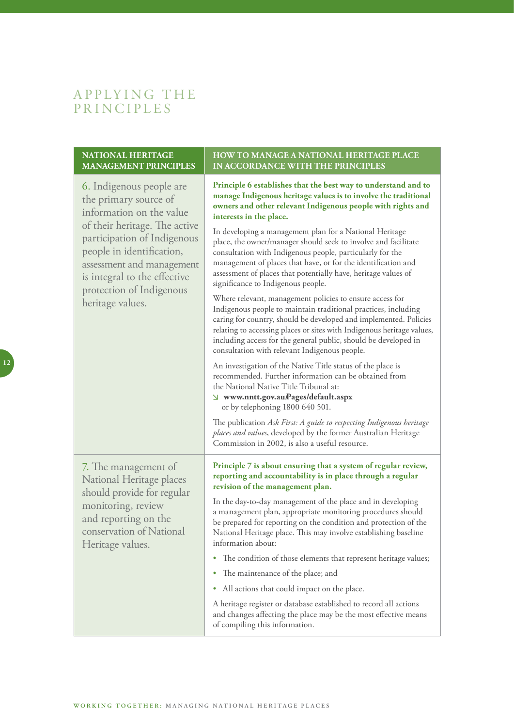#### **National Heritage management principles**

6. Indigenous people are the primary source of information on the value of their heritage. The active participation of Indigenous people in identification, assessment and management is integral to the effective protection of Indigenous heritage values. **Principle 6 establishes that the best way to understand and to manage Indigenous heritage values is to involve the traditional owners and other relevant Indigenous people with rights and interests in the place.** In developing a management plan for a National Heritage place, the owner/manager should seek to involve and facilitate consultation with Indigenous people, particularly for the management of places that have, or for the identification and assessment of places that potentially have, heritage values of significance to Indigenous people. Where relevant, management policies to ensure access for Indigenous people to maintain traditional practices, including caring for country, should be developed and implemented. Policies relating to accessing places or sites with Indigenous heritage values, including access for the general public, should be developed in consultation with relevant Indigenous people. An investigation of the Native Title status of the place is recommended. Further information can be obtained from the National Native Title Tribunal at:  **www.nntt.gov.au/Pages/default.aspx** or by telephoning 1800 640 501. The publication *Ask First: A guide to respecting Indigenous heritage places and values*, developed by the former Australian Heritage Commission in 2002, is also a useful resource. 7. The management of National Heritage places should provide for regular monitoring, review and reporting on the conservation of National Heritage values. **Principle 7 is about ensuring that a system of regular review, reporting and accountability is in place through a regular revision of the management plan.** In the day-to-day management of the place and in developing a management plan, appropriate monitoring procedures should be prepared for reporting on the condition and protection of the National Heritage place. This may involve establishing baseline information about: • The condition of those elements that represent heritage values; • The maintenance of the place; and • All actions that could impact on the place. A heritage register or database established to record all actions and changes affecting the place may be the most effective means of compiling this information.

**How to manage a National Heritage place** 

**in accordance with the principles**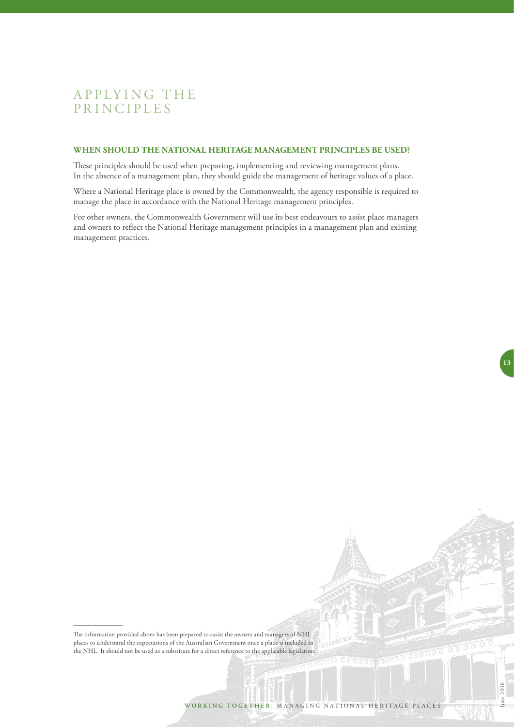#### **When should the National Heritage management principles be used?**

These principles should be used when preparing, implementing and reviewing management plans. In the absence of a management plan, they should guide the management of heritage values of a place.

Where a National Heritage place is owned by the Commonwealth, the agency responsible is required to manage the place in accordance with the National Heritage management principles.

For other owners, the Commonwealth Government will use its best endeavours to assist place managers and owners to reflect the National Heritage management principles in a management plan and existing management practices.

The information provided above has been prepared to assist the owners and managers of NHL places to understand the expectations of the Australian Government once a place is included in the NHL. It should not be used as a substitute for a direct reference to the applicable legislation. **13**

June 2008

**THE OF BLUE**